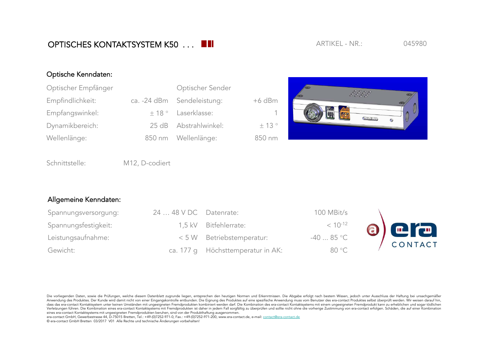Die vorliegenden Daten, sowie die Prüfungen, welche diesem Datenblatt zugrunde liegen, entsprechen den heutigen Normen und Erkenntnissen. Die Abgabe erfolgt nach bestem Wissen, jedoch unter Ausschluss der Haftung bei unsac Anwendung des Produktes. Der Kunde wird damit nicht von einer Eingangskontrolle entbunden. Die Eignung des Produktes auf eine spezifische Anwendung muss vom Benutzer des era-contact Produktes selbst überprüft werden. Wir w dass das era-contact Kontaktsystem unter keinen Umständen mit ungeeigneten Fremdprodukten kombiniert werden darf. Die Kombination des era-contact Kontaktsystems mit einem ungeeigneten Fremdprodukt kann zu erheblichen und s Verletzungen führen. Die Kombination eines era-contact Kontaktsystems mit Fremdprodukten ist daher in jedem Fall sorgfältig zu überprüfen und sollte nicht ohne die vorherige Zustimmung von era-contact erfolgen. Schäden, di eines era-contact Kontaktsystems mit ungeeigneten Fremdprodukten beruhen, sind von der Produkthaftung ausgenommen.

era-contact GmbH, Gewerbestrasse 44, D-75015 Bretten, Tel.: +49-(0)7252-971-0, Fax.: +49-(0)7252-971-200, www.era-contact.de, e-mail: contact@era-contact.de © era-contact GmbH Bretten 03/2017 V01 Alle Rechte und technische Änderungen vorbehalten!

## Optische Kenndaten:

| Optischer Empfänger | Optischer Sender            |          |  |
|---------------------|-----------------------------|----------|--|
| Empfindlichkeit:    | ca. - 24 dBm Sendeleistung: | $+6$ dBm |  |
| Empfangswinkel:     | $\pm$ 18 ° Laserklasse:     | -1       |  |
| Dynamikbereich:     | 25 dB Abstrahlwinkel:       | ± 13°    |  |
| Wellenlänge:        | 850 nm Wellenlänge:         | 850 nm   |  |



Schnittstelle: M12, D-codiert

## Allgemeine Kenndaten:

| Spannungsversorgung: | $2448$ VDC Datenrate: |                                   | 100 MBit/s   |        |
|----------------------|-----------------------|-----------------------------------|--------------|--------|
| Spannungsfestigkeit: |                       | 1,5 kV Bitfehlerrate:             | $< 10^{-12}$ |        |
| Leistungsaufnahme:   |                       | < 5 W Betriebstemperatur:         | $-4085$ °C   | 8) CIC |
| Gewicht:             |                       | ca. 177 q Höchsttemperatur in AK: | 80 °C        |        |

## ARTIKFL - NR.: